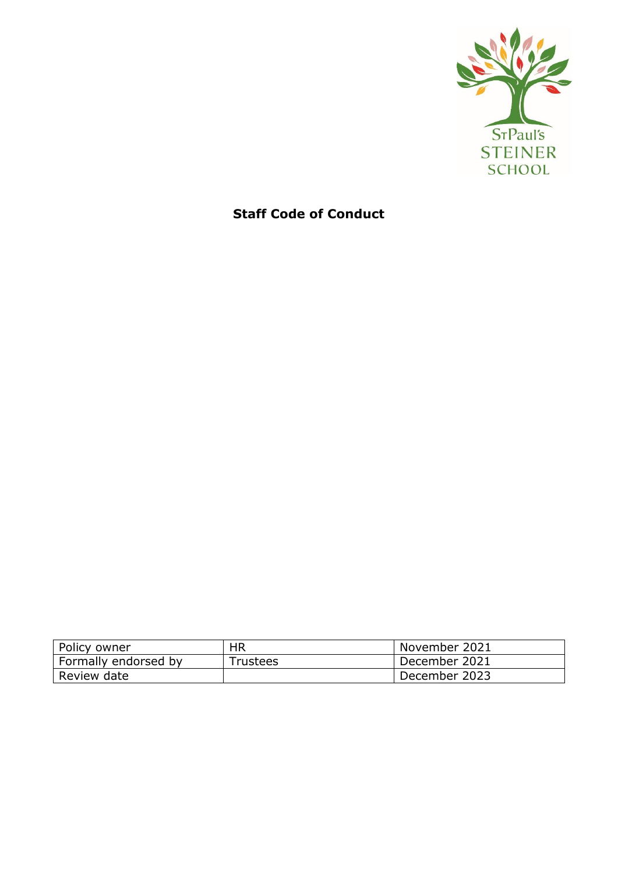

# **Staff Code of Conduct**

| Policy owner         | <b>HR</b>       | November 2021 |
|----------------------|-----------------|---------------|
| Formally endorsed by | <b>Trustees</b> | December 2021 |
| Review date          |                 | December 2023 |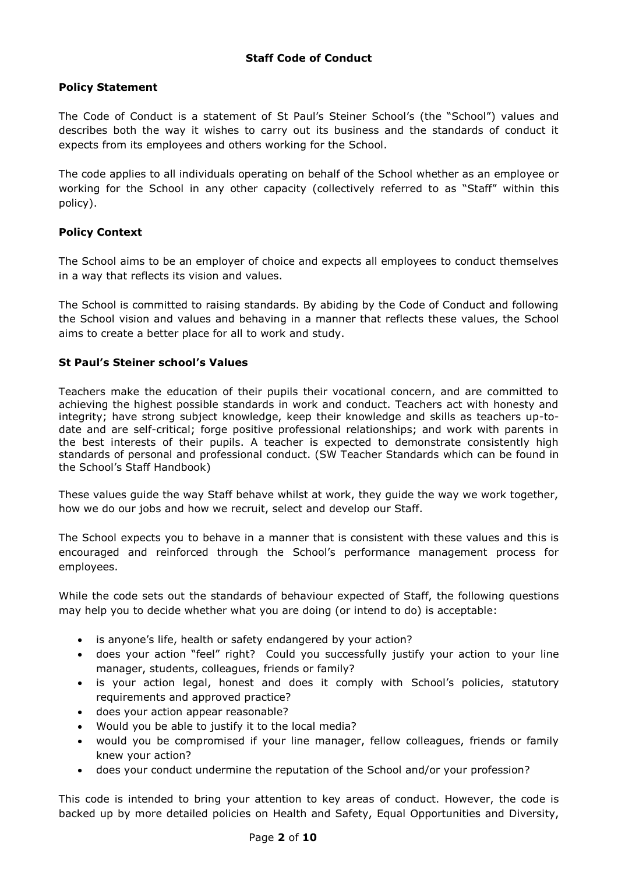## **Policy Statement**

The Code of Conduct is a statement of St Paul's Steiner School's (the "School") values and describes both the way it wishes to carry out its business and the standards of conduct it expects from its employees and others working for the School.

The code applies to all individuals operating on behalf of the School whether as an employee or working for the School in any other capacity (collectively referred to as "Staff" within this policy).

## **Policy Context**

The School aims to be an employer of choice and expects all employees to conduct themselves in a way that reflects its vision and values.

The School is committed to raising standards. By abiding by the Code of Conduct and following the School vision and values and behaving in a manner that reflects these values, the School aims to create a better place for all to work and study.

## **St Paul's Steiner school's Values**

Teachers make the education of their pupils their vocational concern, and are committed to achieving the highest possible standards in work and conduct. Teachers act with honesty and integrity; have strong subject knowledge, keep their knowledge and skills as teachers up-todate and are self-critical; forge positive professional relationships; and work with parents in the best interests of their pupils. A teacher is expected to demonstrate consistently high standards of personal and professional conduct. (SW Teacher Standards which can be found in the School's Staff Handbook)

These values guide the way Staff behave whilst at work, they guide the way we work together, how we do our jobs and how we recruit, select and develop our Staff.

The School expects you to behave in a manner that is consistent with these values and this is encouraged and reinforced through the School's performance management process for employees.

While the code sets out the standards of behaviour expected of Staff, the following questions may help you to decide whether what you are doing (or intend to do) is acceptable:

- is anyone's life, health or safety endangered by your action?
- does your action "feel" right? Could you successfully justify your action to your line manager, students, colleagues, friends or family?
- is your action legal, honest and does it comply with School's policies, statutory requirements and approved practice?
- does your action appear reasonable?
- Would you be able to justify it to the local media?
- would you be compromised if your line manager, fellow colleagues, friends or family knew your action?
- does your conduct undermine the reputation of the School and/or your profession?

This code is intended to bring your attention to key areas of conduct. However, the code is backed up by more detailed policies on Health and Safety, Equal Opportunities and Diversity,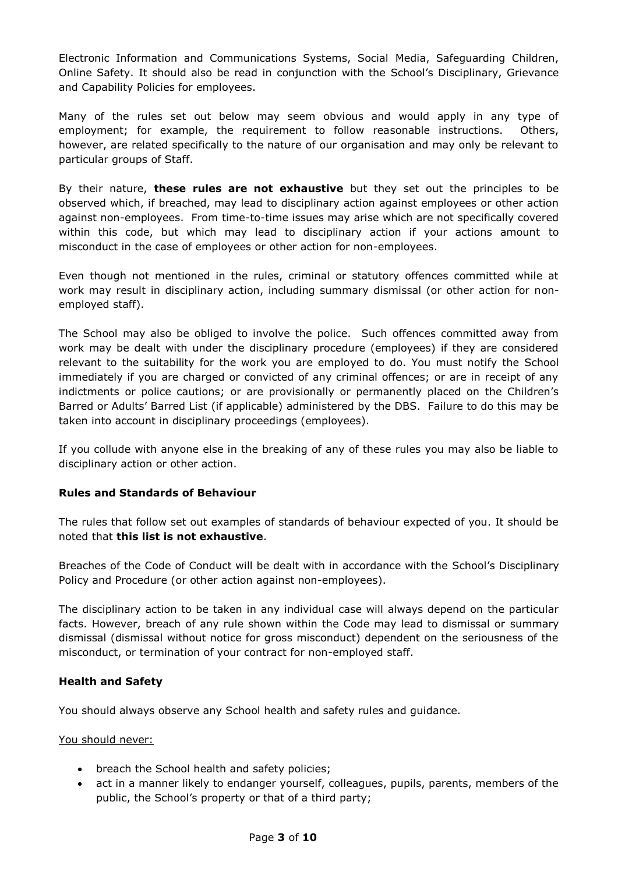Electronic Information and Communications Systems, Social Media, Safeguarding Children, Online Safety. It should also be read in conjunction with the School's Disciplinary, Grievance and Capability Policies for employees.

Many of the rules set out below may seem obvious and would apply in any type of employment; for example, the requirement to follow reasonable instructions. Others, however, are related specifically to the nature of our organisation and may only be relevant to particular groups of Staff.

By their nature, **these rules are not exhaustive** but they set out the principles to be observed which, if breached, may lead to disciplinary action against employees or other action against non-employees. From time-to-time issues may arise which are not specifically covered within this code, but which may lead to disciplinary action if your actions amount to misconduct in the case of employees or other action for non-employees.

Even though not mentioned in the rules, criminal or statutory offences committed while at work may result in disciplinary action, including summary dismissal (or other action for nonemployed staff).

The School may also be obliged to involve the police. Such offences committed away from work may be dealt with under the disciplinary procedure (employees) if they are considered relevant to the suitability for the work you are employed to do. You must notify the School immediately if you are charged or convicted of any criminal offences; or are in receipt of any indictments or police cautions; or are provisionally or permanently placed on the Children's Barred or Adults' Barred List (if applicable) administered by the DBS. Failure to do this may be taken into account in disciplinary proceedings (employees).

If you collude with anyone else in the breaking of any of these rules you may also be liable to disciplinary action or other action.

## **Rules and Standards of Behaviour**

The rules that follow set out examples of standards of behaviour expected of you. It should be noted that **this list is not exhaustive**.

Breaches of the Code of Conduct will be dealt with in accordance with the School's Disciplinary Policy and Procedure (or other action against non-employees).

The disciplinary action to be taken in any individual case will always depend on the particular facts. However, breach of any rule shown within the Code may lead to dismissal or summary dismissal (dismissal without notice for gross misconduct) dependent on the seriousness of the misconduct, or termination of your contract for non-employed staff.

## **Health and Safety**

You should always observe any School health and safety rules and guidance.

#### You should never:

- breach the School health and safety policies;
- act in a manner likely to endanger yourself, colleagues, pupils, parents, members of the public, the School's property or that of a third party;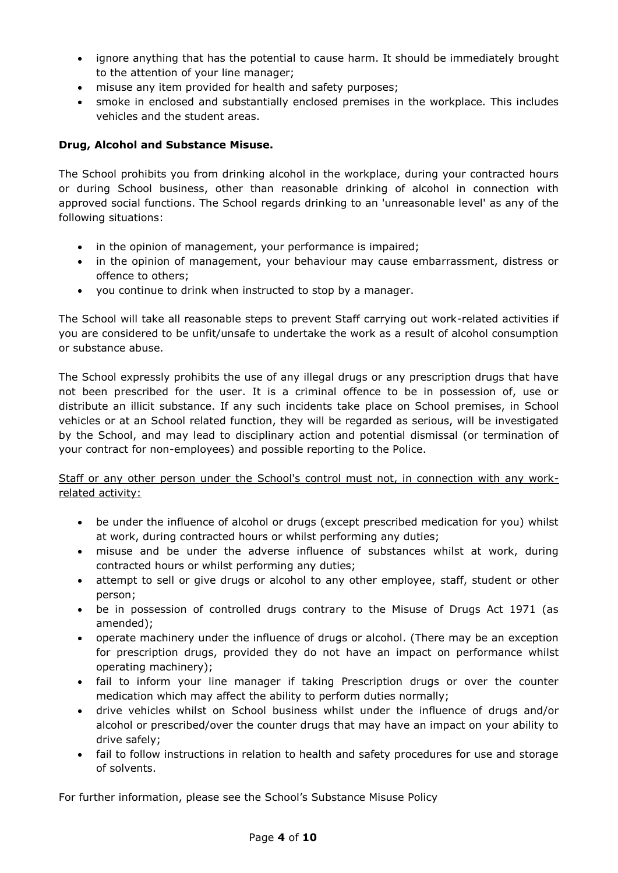- ignore anything that has the potential to cause harm. It should be immediately brought to the attention of your line manager;
- misuse any item provided for health and safety purposes;
- smoke in enclosed and substantially enclosed premises in the workplace. This includes vehicles and the student areas.

# **Drug, Alcohol and Substance Misuse.**

The School prohibits you from drinking alcohol in the workplace, during your contracted hours or during School business, other than reasonable drinking of alcohol in connection with approved social functions. The School regards drinking to an 'unreasonable level' as any of the following situations:

- in the opinion of management, your performance is impaired;
- in the opinion of management, your behaviour may cause embarrassment, distress or offence to others;
- you continue to drink when instructed to stop by a manager.

The School will take all reasonable steps to prevent Staff carrying out work-related activities if you are considered to be unfit/unsafe to undertake the work as a result of alcohol consumption or substance abuse.

The School expressly prohibits the use of any illegal drugs or any prescription drugs that have not been prescribed for the user. It is a criminal offence to be in possession of, use or distribute an illicit substance. If any such incidents take place on School premises, in School vehicles or at an School related function, they will be regarded as serious, will be investigated by the School, and may lead to disciplinary action and potential dismissal (or termination of your contract for non-employees) and possible reporting to the Police.

## Staff or any other person under the School's control must not, in connection with any workrelated activity:

- be under the influence of alcohol or drugs (except prescribed medication for you) whilst at work, during contracted hours or whilst performing any duties;
- misuse and be under the adverse influence of substances whilst at work, during contracted hours or whilst performing any duties;
- attempt to sell or give drugs or alcohol to any other employee, staff, student or other person;
- be in possession of controlled drugs contrary to the Misuse of Drugs Act 1971 (as amended);
- operate machinery under the influence of drugs or alcohol. (There may be an exception for prescription drugs, provided they do not have an impact on performance whilst operating machinery);
- fail to inform your line manager if taking Prescription drugs or over the counter medication which may affect the ability to perform duties normally;
- drive vehicles whilst on School business whilst under the influence of drugs and/or alcohol or prescribed/over the counter drugs that may have an impact on your ability to drive safely;
- fail to follow instructions in relation to health and safety procedures for use and storage of solvents.

For further information, please see the School's Substance Misuse Policy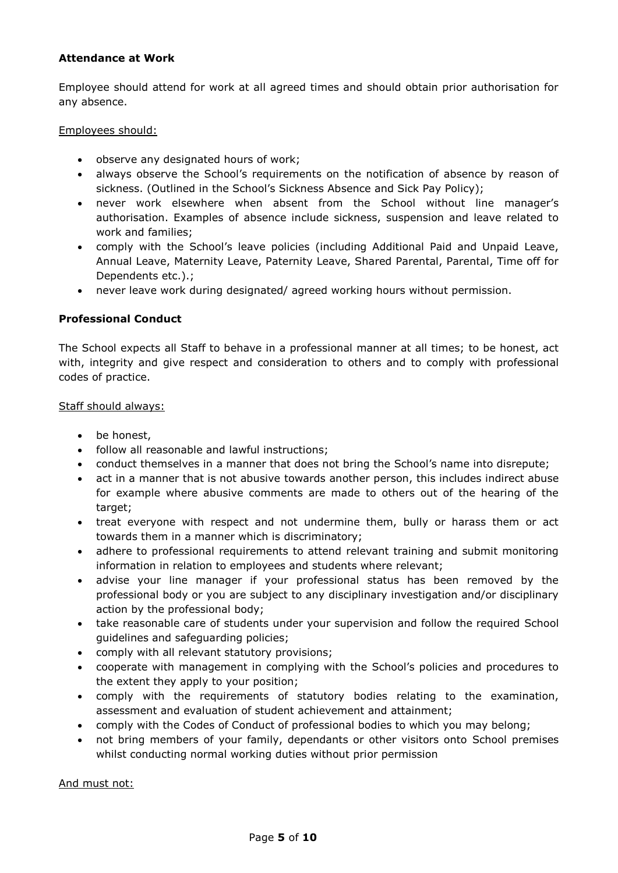## **Attendance at Work**

Employee should attend for work at all agreed times and should obtain prior authorisation for any absence.

Employees should:

- observe any designated hours of work;
- always observe the School's requirements on the notification of absence by reason of sickness. (Outlined in the School's Sickness Absence and Sick Pay Policy);
- never work elsewhere when absent from the School without line manager's authorisation. Examples of absence include sickness, suspension and leave related to work and families;
- comply with the School's leave policies (including Additional Paid and Unpaid Leave, Annual Leave, Maternity Leave, Paternity Leave, Shared Parental, Parental, Time off for Dependents etc.).:
- never leave work during designated/ agreed working hours without permission.

## **Professional Conduct**

The School expects all Staff to behave in a professional manner at all times; to be honest, act with, integrity and give respect and consideration to others and to comply with professional codes of practice.

#### Staff should always:

- be honest,
- follow all reasonable and lawful instructions:
- conduct themselves in a manner that does not bring the School's name into disrepute;
- act in a manner that is not abusive towards another person, this includes indirect abuse for example where abusive comments are made to others out of the hearing of the target;
- treat everyone with respect and not undermine them, bully or harass them or act towards them in a manner which is discriminatory;
- adhere to professional requirements to attend relevant training and submit monitoring information in relation to employees and students where relevant;
- advise your line manager if your professional status has been removed by the professional body or you are subject to any disciplinary investigation and/or disciplinary action by the professional body;
- take reasonable care of students under your supervision and follow the required School guidelines and safeguarding policies;
- comply with all relevant statutory provisions;
- cooperate with management in complying with the School's policies and procedures to the extent they apply to your position;
- comply with the requirements of statutory bodies relating to the examination, assessment and evaluation of student achievement and attainment;
- comply with the Codes of Conduct of professional bodies to which you may belong;
- not bring members of your family, dependants or other visitors onto School premises whilst conducting normal working duties without prior permission

And must not: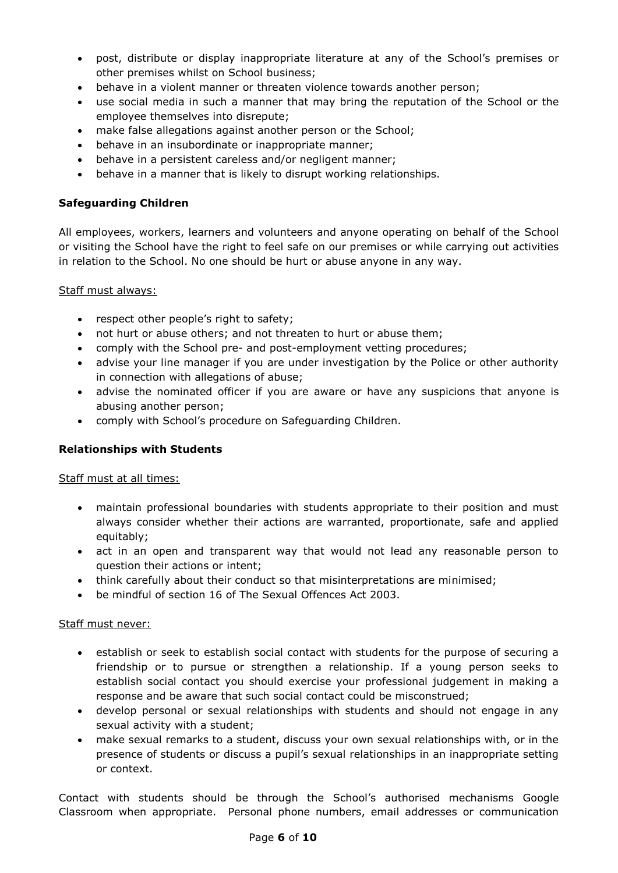- post, distribute or display inappropriate literature at any of the School's premises or other premises whilst on School business;
- behave in a violent manner or threaten violence towards another person;
- use social media in such a manner that may bring the reputation of the School or the employee themselves into disrepute;
- make false allegations against another person or the School;
- behave in an insubordinate or inappropriate manner;
- behave in a persistent careless and/or negligent manner;
- behave in a manner that is likely to disrupt working relationships.

## **Safeguarding Children**

All employees, workers, learners and volunteers and anyone operating on behalf of the School or visiting the School have the right to feel safe on our premises or while carrying out activities in relation to the School. No one should be hurt or abuse anyone in any way.

#### Staff must always:

- respect other people's right to safety;
- not hurt or abuse others; and not threaten to hurt or abuse them;
- comply with the School pre- and post-employment vetting procedures;
- advise your line manager if you are under investigation by the Police or other authority in connection with allegations of abuse;
- advise the nominated officer if you are aware or have any suspicions that anyone is abusing another person;
- comply with School's procedure on Safeguarding Children.

## **Relationships with Students**

## Staff must at all times:

- maintain professional boundaries with students appropriate to their position and must always consider whether their actions are warranted, proportionate, safe and applied equitably;
- act in an open and transparent way that would not lead any reasonable person to question their actions or intent;
- think carefully about their conduct so that misinterpretations are minimised;
- be mindful of section 16 of The Sexual Offences Act 2003.

## Staff must never:

- establish or seek to establish social contact with students for the purpose of securing a friendship or to pursue or strengthen a relationship. If a young person seeks to establish social contact you should exercise your professional judgement in making a response and be aware that such social contact could be misconstrued;
- develop personal or sexual relationships with students and should not engage in any sexual activity with a student;
- make sexual remarks to a student, discuss your own sexual relationships with, or in the presence of students or discuss a pupil's sexual relationships in an inappropriate setting or context.

Contact with students should be through the School's authorised mechanisms Google Classroom when appropriate. Personal phone numbers, email addresses or communication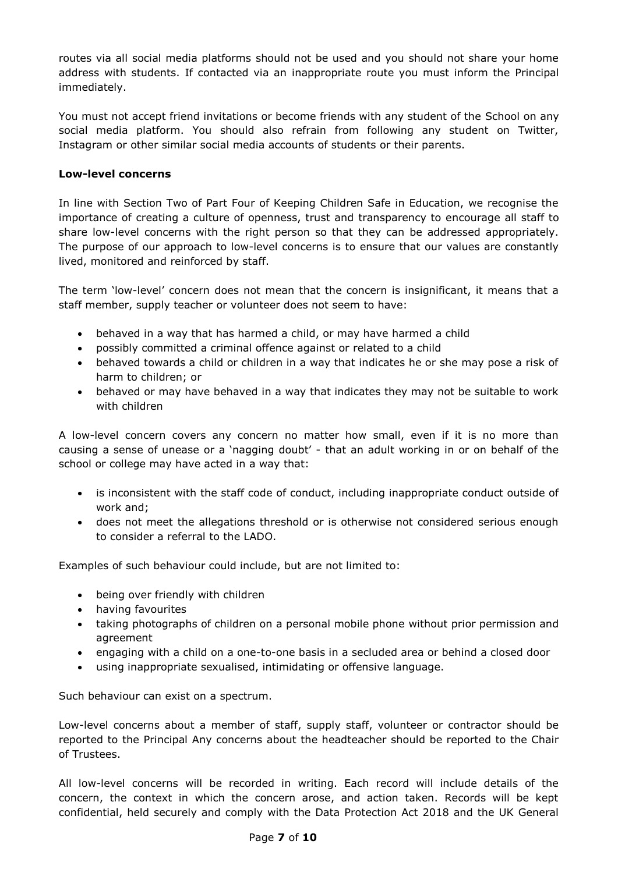routes via all social media platforms should not be used and you should not share your home address with students. If contacted via an inappropriate route you must inform the Principal immediately.

You must not accept friend invitations or become friends with any student of the School on any social media platform. You should also refrain from following any student on Twitter, Instagram or other similar social media accounts of students or their parents.

## **Low-level concerns**

In line with Section Two of Part Four of Keeping Children Safe in Education, we recognise the importance of creating a culture of openness, trust and transparency to encourage all staff to share low-level concerns with the right person so that they can be addressed appropriately. The purpose of our approach to low-level concerns is to ensure that our values are constantly lived, monitored and reinforced by staff.

The term 'low-level' concern does not mean that the concern is insignificant, it means that a staff member, supply teacher or volunteer does not seem to have:

- behaved in a way that has harmed a child, or may have harmed a child
- possibly committed a criminal offence against or related to a child
- behaved towards a child or children in a way that indicates he or she may pose a risk of harm to children; or
- behaved or may have behaved in a way that indicates they may not be suitable to work with children

A low-level concern covers any concern no matter how small, even if it is no more than causing a sense of unease or a 'nagging doubt' - that an adult working in or on behalf of the school or college may have acted in a way that:

- is inconsistent with the staff code of conduct, including inappropriate conduct outside of work and;
- does not meet the allegations threshold or is otherwise not considered serious enough to consider a referral to the LADO.

Examples of such behaviour could include, but are not limited to:

- being over friendly with children
- having favourites
- taking photographs of children on a personal mobile phone without prior permission and agreement
- engaging with a child on a one-to-one basis in a secluded area or behind a closed door
- using inappropriate sexualised, intimidating or offensive language.

Such behaviour can exist on a spectrum.

Low-level concerns about a member of staff, supply staff, volunteer or contractor should be reported to the Principal Any concerns about the headteacher should be reported to the Chair of Trustees.

All low-level concerns will be recorded in writing. Each record will include details of the concern, the context in which the concern arose, and action taken. Records will be kept confidential, held securely and comply with the Data Protection Act 2018 and the UK General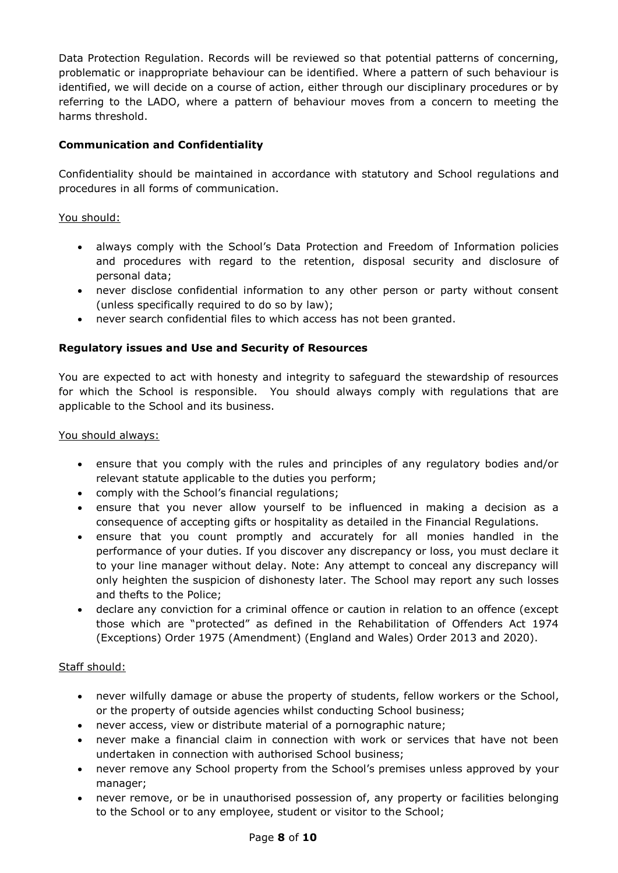Data Protection Regulation. Records will be reviewed so that potential patterns of concerning, problematic or inappropriate behaviour can be identified. Where a pattern of such behaviour is identified, we will decide on a course of action, either through our disciplinary procedures or by referring to the LADO, where a pattern of behaviour moves from a concern to meeting the harms threshold.

# **Communication and Confidentiality**

Confidentiality should be maintained in accordance with statutory and School regulations and procedures in all forms of communication.

## You should:

- always comply with the School's Data Protection and Freedom of Information policies and procedures with regard to the retention, disposal security and disclosure of personal data;
- never disclose confidential information to any other person or party without consent (unless specifically required to do so by law);
- never search confidential files to which access has not been granted.

# **Regulatory issues and Use and Security of Resources**

You are expected to act with honesty and integrity to safeguard the stewardship of resources for which the School is responsible. You should always comply with regulations that are applicable to the School and its business.

#### You should always:

- ensure that you comply with the rules and principles of any regulatory bodies and/or relevant statute applicable to the duties you perform;
- comply with the School's financial regulations;
- ensure that you never allow yourself to be influenced in making a decision as a consequence of accepting gifts or hospitality as detailed in the Financial Regulations.
- ensure that you count promptly and accurately for all monies handled in the performance of your duties. If you discover any discrepancy or loss, you must declare it to your line manager without delay. Note: Any attempt to conceal any discrepancy will only heighten the suspicion of dishonesty later. The School may report any such losses and thefts to the Police;
- declare any conviction for a criminal offence or caution in relation to an offence (except those which are "protected" as defined in the Rehabilitation of Offenders Act 1974 (Exceptions) Order 1975 (Amendment) (England and Wales) Order 2013 and 2020).

## Staff should:

- never wilfully damage or abuse the property of students, fellow workers or the School, or the property of outside agencies whilst conducting School business;
- never access, view or distribute material of a pornographic nature;
- never make a financial claim in connection with work or services that have not been undertaken in connection with authorised School business;
- never remove any School property from the School's premises unless approved by your manager;
- never remove, or be in unauthorised possession of, any property or facilities belonging to the School or to any employee, student or visitor to the School;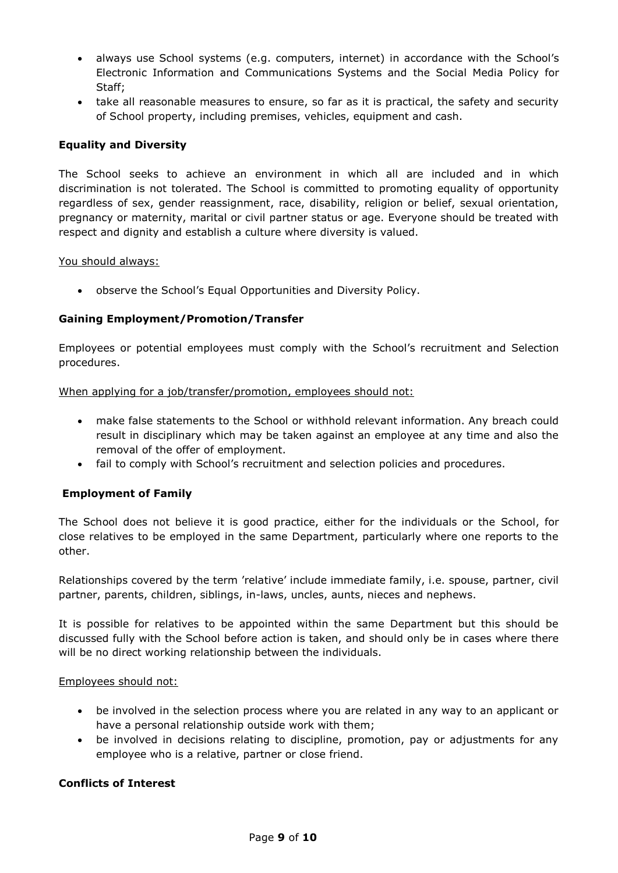- always use School systems (e.g. computers, internet) in accordance with the School's Electronic Information and Communications Systems and the Social Media Policy for Staff;
- take all reasonable measures to ensure, so far as it is practical, the safety and security of School property, including premises, vehicles, equipment and cash.

#### **Equality and Diversity**

The School seeks to achieve an environment in which all are included and in which discrimination is not tolerated. The School is committed to promoting equality of opportunity regardless of sex, gender reassignment, race, disability, religion or belief, sexual orientation, pregnancy or maternity, marital or civil partner status or age. Everyone should be treated with respect and dignity and establish a culture where diversity is valued.

#### You should always:

observe the School's Equal Opportunities and Diversity Policy.

# **Gaining Employment/Promotion/Transfer**

Employees or potential employees must comply with the School's recruitment and Selection procedures.

#### When applying for a job/transfer/promotion, employees should not:

- make false statements to the School or withhold relevant information. Any breach could result in disciplinary which may be taken against an employee at any time and also the removal of the offer of employment.
- fail to comply with School's recruitment and selection policies and procedures.

## **Employment of Family**

The School does not believe it is good practice, either for the individuals or the School, for close relatives to be employed in the same Department, particularly where one reports to the other.

Relationships covered by the term 'relative' include immediate family, i.e. spouse, partner, civil partner, parents, children, siblings, in-laws, uncles, aunts, nieces and nephews.

It is possible for relatives to be appointed within the same Department but this should be discussed fully with the School before action is taken, and should only be in cases where there will be no direct working relationship between the individuals.

#### Employees should not:

- be involved in the selection process where you are related in any way to an applicant or have a personal relationship outside work with them;
- be involved in decisions relating to discipline, promotion, pay or adjustments for any employee who is a relative, partner or close friend.

## **Conflicts of Interest**